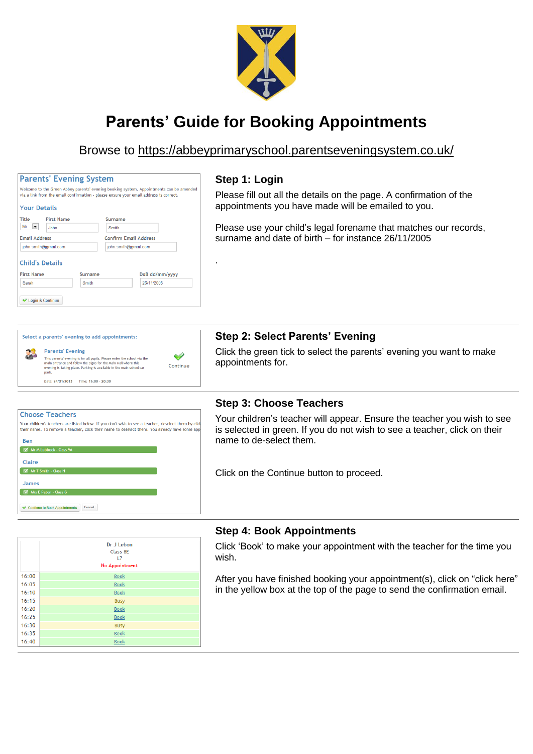

# **Parents' Guide for Booking Appointments**

Browse to https://abbeyprimaryschool.parentseveningsystem.co.uk/

|                                         | <b>Parents' Evening System</b> |                                                                                                                                                                                  |  |
|-----------------------------------------|--------------------------------|----------------------------------------------------------------------------------------------------------------------------------------------------------------------------------|--|
|                                         |                                | Welcome to the Green Abbey parents' evening booking system. Appointments can be amended<br>via a link from the email confirmation - please ensure your email address is correct. |  |
| <b>Your Details</b>                     |                                |                                                                                                                                                                                  |  |
| <b>First Name</b><br>Title              |                                | Surname                                                                                                                                                                          |  |
| Mr<br>$\overline{\phantom{a}}$<br>.lohn | Smith                          |                                                                                                                                                                                  |  |
| <b>Email Address</b>                    |                                | <b>Confirm Email Address</b>                                                                                                                                                     |  |
| john.smith@gmail.com                    |                                | john.smith@gmail.com                                                                                                                                                             |  |
| <b>Child's Details</b>                  |                                |                                                                                                                                                                                  |  |
| <b>First Name</b>                       | Surname                        | DoB dd/mm/yyyy                                                                                                                                                                   |  |
| Sarah                                   | Smith                          | 26/11/2005                                                                                                                                                                       |  |

# **Step 1: Login**

.

Please fill out all the details on the page. A confirmation of the appointments you have made will be emailed to you.

Please use your child's legal forename that matches our records, surname and date of birth – for instance 26/11/2005



Your children's teachers are listed below. If you don't wish to see a teacher, deselect them by clic their name. To remove a teacher, click their name to deselect them. You already have so

**Choose Teachers** 

Continue to Book Appointments Cancel

Ben  $\boxed{\blacksquare}$  Mr M Lubbock - C Claire  $\sqrt{M}$  Mr T Smith - C James Mrs E Paton - Class G

# **Step 2: Select Parents' Evening**

Click the green tick to select the parents' evening you want to make appointments for.

## **Step 3: Choose Teachers**

Your children's teacher will appear. Ensure the teacher you wish to see is selected in green. If you do not wish to see a teacher, click on their name to de-select them.

Click on the Continue button to proceed.

#### **Step 4: Book Appointments**

Click 'Book' to make your appointment with the teacher for the time you wish.

After you have finished booking your appointment(s), click on "click here" in the yellow box at the top of the page to send the confirmation email.

|       | Dr J Lebon<br>Class 8E<br>L7<br>No Appointment |
|-------|------------------------------------------------|
| 16:00 | <b>Book</b>                                    |
| 16:05 | <b>Book</b>                                    |
| 16:10 | <b>Book</b>                                    |
| 16:15 | <b>Busy</b>                                    |
| 16:20 | <b>Book</b>                                    |
| 16:25 | <b>Book</b>                                    |
| 16:30 | <b>Busy</b>                                    |
| 16:35 | <b>Book</b>                                    |
| 16:40 | <b>Book</b>                                    |